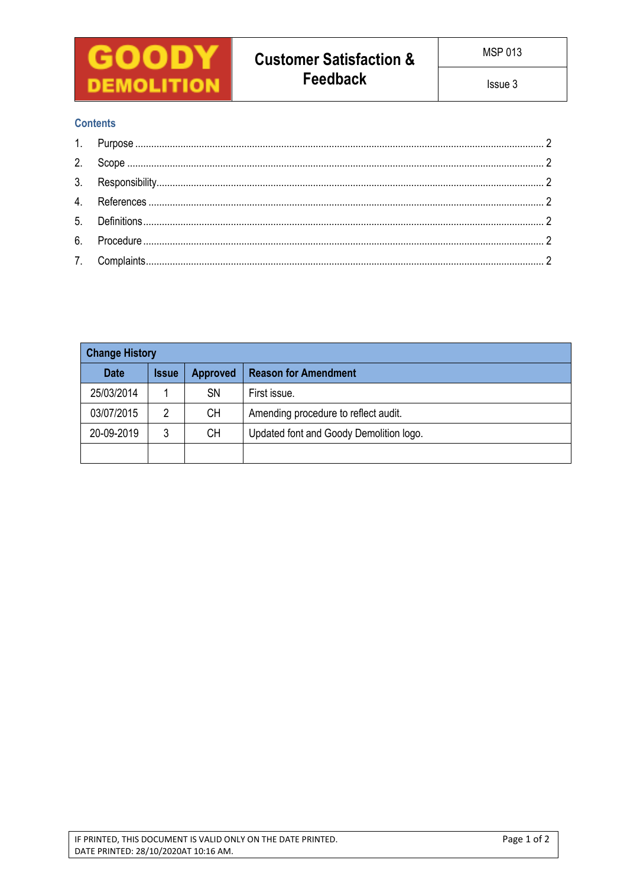

# **Contents**

| <b>Change History</b> |              |                 |                                         |  |  |
|-----------------------|--------------|-----------------|-----------------------------------------|--|--|
| <b>Date</b>           | <b>Issue</b> | <b>Approved</b> | <b>Reason for Amendment</b>             |  |  |
| 25/03/2014            |              | <b>SN</b>       | First issue.                            |  |  |
| 03/07/2015            | 2            | CН              | Amending procedure to reflect audit.    |  |  |
| 20-09-2019            | 3            | <b>CH</b>       | Updated font and Goody Demolition logo. |  |  |
|                       |              |                 |                                         |  |  |